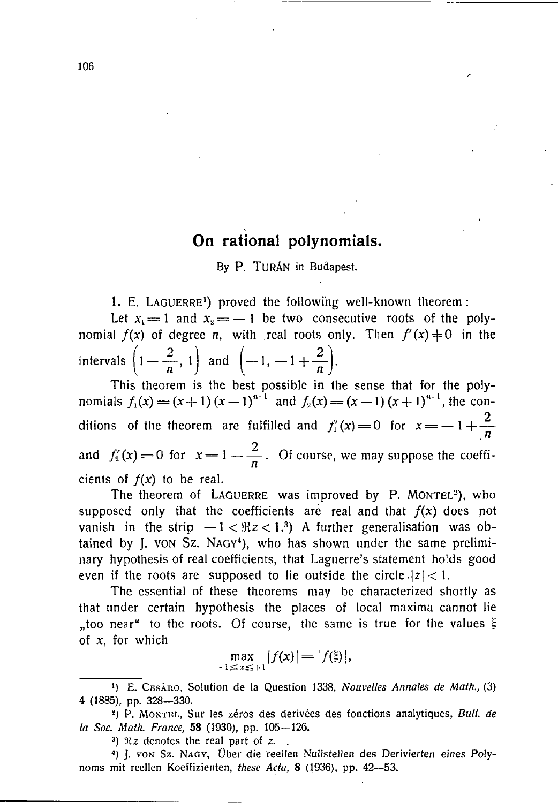## **On rational polynomials.**

By P. TURÁN in Budapest.

**1. E.** LAOUERRE**<sup>1</sup> ) proved the following well-known theorem:** 

Let  $x_1 = 1$  and  $x_2 = -1$  be two consecutive roots of the poly**nomial**  $f(x)$  of degree *n*, with real roots only. Then  $f'(x) \neq 0$  in the intervals  $\left(1 - \frac{2}{n}, 1\right)$  and  $\left(-1, -1 + \frac{2}{n}\right)$ 

**This theorem is the best possible in the sense that for the polynomials**  $f_1(x) = (x+1)(x-1)^{n-1}$  and  $f_2(x) = (x-1)(x+1)^{n-1}$ , the conditions of the theorem are fulfilled and  $f'_1(x) = 0$  for  $x = -1 + \frac{2}{x}$ **2**   $\sum_{i=1}^{n}$  **a**  $\sum_{i=1}^{n}$  **d**  $\sum_{i=1}^{n}$  **d**  $\sum_{i=1}^{n}$  **d**  $\sum_{i=1}^{n}$  **d**  $\sum_{i=1}^{n}$  **d**  $\sum_{i=1}^{n}$  **d**  $\sum_{i=1}^{n}$  **d**  $\sum_{i=1}^{n}$  **d**  $\sum_{i=1}^{n}$  **d**  $\sum_{i=1}^{n}$  **d**  $\sum_{i=1}^{n}$  **d**  $\sum_{i=1}^{n}$  **d**

cients of  $f(x)$  to be real.<br>The theorem of LAGUERRE was improved by P. MONTEL<sup>2</sup>), who  $\frac{1}{2}$  and the **coefficients** are real and that  $f(x)$  does not **vanish** in the strip  $-1 < \Re z < 1.$ <sup>3</sup>) A further generalisation was ob**vanish in the strip —1 1 (1) 1) 1** *Contrary* **Substitution was obtained** by **I vow** Sz NAGV4) who has shown under the same prelimi**tained** by J. Von Same proof, who has shown under the same precision of the same precision of the same precision of the same precision of the same precision of the same precision of the same precision of the same precisio even if the roots are supposed to lie outside the circle  $|z| < 1$ .

The essential of these theorems may be characterized shortly as that under certain hypothesis the places of local maxima cannot lie too near" to the roots. Of course, the same is true for the values  $\varepsilon$ **"too near" to the roots. Of course, the same is true for the values H of** *x,* **for which** 

 $\max_{-1 \le x \le +1} |f(x)| = |f(\xi)|,$ 

3 ) Siz denotes the real part of *z. .* 

<sup>4</sup>) J. von Sz. Nagy, Über die reellen Nullstellen des Derivierten eines Polynoms mit reellen Koeffizienten, *these Acta,* 8 (1936), pp. 42—53.

<sup>&</sup>lt;sup>1</sup>) E. CESARO, Solution de la Question 1338, Nouvelles Annales de Math., (3) 4 (1885), pp. 328-330.

<sup>&</sup>lt;sup>2</sup>) P. MONTEL, Sur les zéros des derivées des fonctions analytiques, Bull. de *la Soc. Math. France*, 58 (1930), pp. 105-126.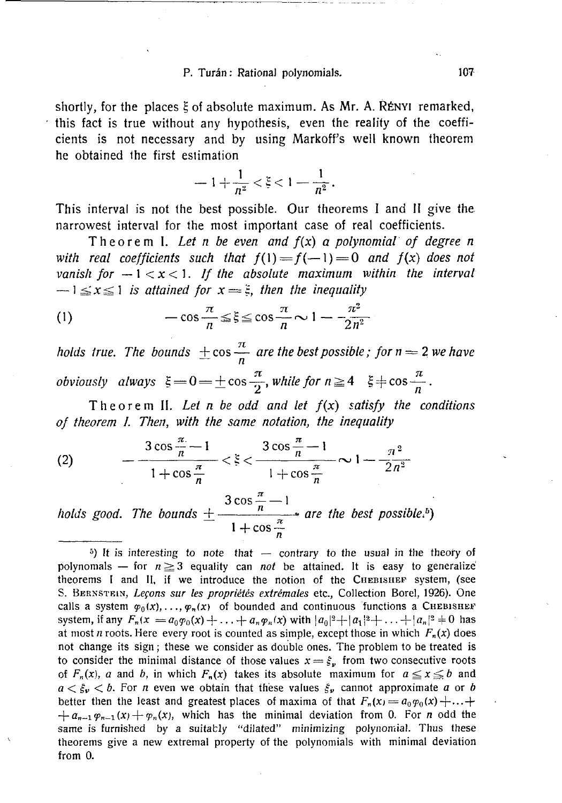## P. Turán : Rational polynomials. 107

**shortly, for the place s \ of absolut e maximum . As Mr.** A. RÉNYI **remarked,**  this fact is true without any hypothesis, even the reality of the coeffi**cients is not necessary and by using Markoff's well known theorem he obtained the first estimation** 

$$
= 1 + \frac{1}{n^2} < \xi < 1 - \frac{1}{n^2}.
$$

**This interval is not the best possible . Our theorem s I an d II giv e the narrowest interval for the most important cas e of real coefficients.** 

Theorem 1. Let *n* be even and  $f(x)$  a polynomial of degree *n with real coefficients such that*  $f(1) = f(-1) = 0$  *and*  $f(x)$  *does not vanish for*  $-1 < x < 1$ . If the absolute maximum within the interval  $-1 \le x \le 1$  is attained for  $x = \xi$ , then the inequality

(1) 
$$
-\cos\frac{\pi}{n} \leq \xi \leq \cos\frac{\pi}{n} \sim 1 - \frac{\pi^2}{2n^2}
$$

*holds true. The bounds*  $\pm \cos \frac{\pi}{4}$  are the best possible; for  $n = 2$  we have *obviously always*  $\xi = 0 = \pm \cos \frac{\pi}{2}$ , while for  $n \ge 4$   $\xi \ne \cos \frac{\pi}{2}$ .

**Theore m II.** *Let n be odd and let f(x ) satisfy the conditions of theorem I. Then, with the same notation, the inequality* 

(2)  $-\frac{3\cos\frac{\pi}{n}-1}{\pi}<\xi<\frac{3\cos\frac{\pi}{n}-1}{\pi}<\frac{\pi^2}{6}$  $1 + \cos \frac{\pi}{n}$  1 +  $\cos \frac{\pi}{n}$ 

 $3 \cos \frac{\pi}{2} - 1$ *holds good. The bounds*  $+$  $-$  $-$  $\cdots$  *are the best possible.*")  $1 + \cos \frac{\pi}{n}$ 

5 ) It is interesting *to note* that — contrary to the usual in the theory of polynomals — for  $n \ge 3$  equality can *not* be attained. It is easy to generalize theorems I and II, if we introduce the notion of the CHEBISHEF system, (see S. BERNSTEIN, *Legons sur les propriétés extrémales* etc., Collection Borel, 1926). One calls a system  $\varphi_0(x), \ldots, \varphi_n(x)$  of bounded and continuous functions a CHEBISHEF system, if any  $F_n(x) = a_0 \varphi_0(x) + \ldots + a_n \varphi_n(x)$  with  $|a_0|^2 + |a_1|^2 + \ldots + |a_n|^2 \neq 0$  has at most *n* roots. Here every root is counted as simple, except those in which  $F_n(x)$  does not change its sign; these we consider as double ones. The problem to be treated is to consider the minimal distance of those values  $x = \xi_v$  from two consecutive roots of  $F_n(x)$ , a and b, in which  $F_n(x)$  takes its absolute maximum for  $a \le x \le b$  and  $a < \xi_v < b$ . For *n* even we obtain that these values  $\xi_v$  cannot approximate *a* or *b* better then the least and greatest places of maxima of that  $F_n(x) = a_0 \varphi_0(x) + \ldots$  $+a_{n-1} \varphi_{n-1}(x)+\varphi_n(x)$ , which has the minimal deviation from 0. For *n* odd the same is furnished by a suitably "dilated" minimizing polynomial. Thus these theorems give a new extremal property of the polynomials with minimal deviation from 0.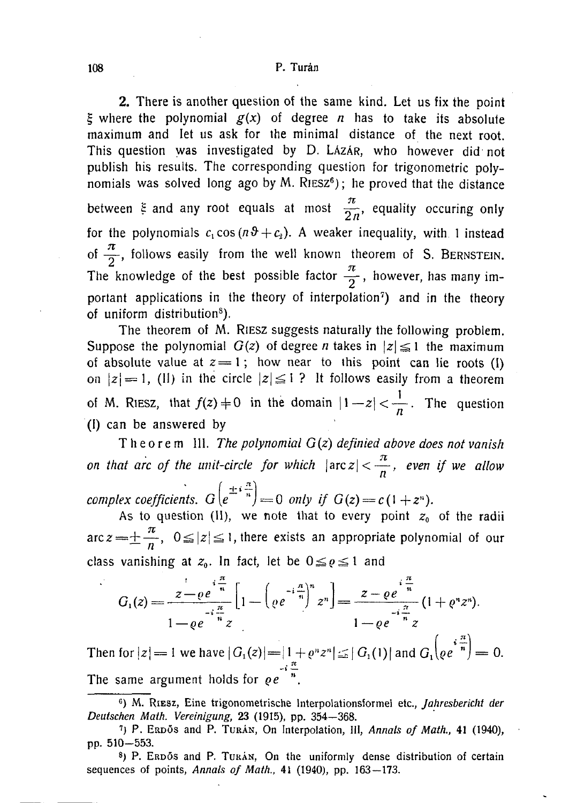**2. There is another question of the same kind. Let us fix the point**   $\zeta$  where the polynomial  $g(x)$  of degree *n* has to take its absolute **maximum and let us ask for the minimal distance of the next root. This question was investigated by** D. LAZAR**, who however did not publish his results. The corresponding question for trigonometric polynomials was solved long ago by** M. RIESZ**<sup>6</sup> ); he proved that the distance**  *7Z*   $\mathbf{z} \cdot \mathbf{n}$ for the polynomials  $c_1 \cos(n\vartheta + c_2)$ . A weaker inequality, with 1 instead of  $\frac{\pi}{2}$ , follows easily from the well known theorem of S. BERNSTEIN. *71*  **The knowledge of the best possible factor — , however, has many important applications in the theory of interpolation<sup>7</sup> ) and in the theory of uniform distribution<sup>8</sup> ).** 

**The theorem of** M. RIESZ **suggests naturally the following problem.**  Suppose the polynomial  $G(z)$  of degree *n* takes in  $|z| \le 1$  the maximum of absolute value at  $z = 1$ ; how near to this point can lie roots (I)  $\alpha$  absolute value at  $z = 1$ , how near to this point can lie roots (i)  $\alpha$   $|z|$  = 1, (ii) in the circle  $|z| \ge 1$  **i** to follows easily from a theorem of M. RIESZ, that  $f(z) \neq 0$  in the domain  $|1-z| < \frac{1}{n}$ . The question **(I) can be answered by** 

**Theore m 111.** *The polynomial G(z) definied above does not vanish 7t on that arc of the unit-circle for which |arcz|<—, even if we allow*   $complex coefficients. G(e^{-n}) = 0$  only if  $G(z) = c(1+z^n)$ .

**As to question (11), we note that to every point** *z0* **of the radii**  *TC*   $=$ **n**  $\cdot$ 

$$
G_1(z) = \frac{z - \varrho e^{-i\frac{\pi}{n}}}{1 - \varrho e^{-i\frac{\pi}{n}}z} \left[1 - \left(\varrho e^{-i\frac{\pi}{n}}\right)^n z^n\right] = \frac{z - \varrho e^{-i\frac{\pi}{n}}}{1 - \varrho e^{-i\frac{\pi}{n}}z} (1 + \varrho^n z^n).
$$

**Then for**  $|z| = 1$  **we have**  $|G_1(z)| = |1 + \varrho^n z^n| \leq |G_1(1)|$  **and**  $G_1(\varrho e^{-n}) = 0$ **.** -I — **The same argument holds for** *qe* **".** 

M. RIESZ, Eine trigonometrische lnterpolationsformel etc., *Jahresbericht der Deutschen Math. Vereinigung,* 23 (1915), pp. 354-368 .

<sup>&</sup>lt;sup>7</sup>) P. ERDOS and P. TURAN, On Interpolation, III, Annals of Math., 41 (1940), pp.  $510 - 553$ .

<sup>&</sup>lt;sup>8</sup>) P. ERDOS and P. TURAN, On the uniformly dense distribution of certain sequences of points, *Annals of Math.,* 41 (1940), pp. 163—173.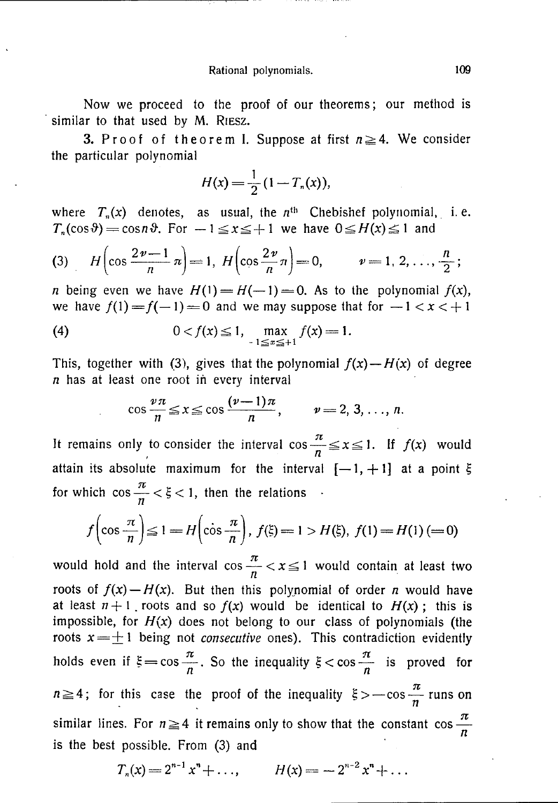**Now we proceed to the proof of our theorems; our method is similar to that used by** M. RIESZ.

**3.** Proof of theorem I. Suppose at first  $n \geq 4$ . We consider **the particular polynomial** 

$$
H(x) = \frac{1}{2}(1 - T_n(x)),
$$

where  $T_n(x)$  denotes, as usual, the  $n^{\text{th}}$  Chebishef polynomial, i.e.  $T_n(\cos \theta) = \cos n\theta$ . For  $-1 \le x \le +1$  we have  $0 \le H(x) \le 1$  and

(3) 
$$
H\left(\cos\frac{2\nu-1}{n}n\right) = 1, H\left(\cos\frac{2\nu}{n}n\right) = 0, \qquad \nu = 1, 2, ..., \frac{n}{2};
$$

*n* being even we have  $H(1) = H(-1) = 0$ . As to the polynomial  $f(x)$ , we have  $f(1) = f(-1) = 0$  and we may suppose that for  $-1 < x < +1$ 

(4) 
$$
0 < f(x) \le 1, \max_{-1 \le x \le +1} f(x) = 1.
$$

This, together with (3), gives that the polynomial  $f(x) - H(x)$  of degree *n* **has at least one root in every interval** 

$$
\cos\frac{\nu\pi}{n}\leq x\leq \cos\frac{(\nu-1)\pi}{n},\qquad \nu=2,3,\ldots,n.
$$

*7Z*  **It remains only to consider the interval cost**  $\boldsymbol{n}$  $\pi$ for which  $\cos \frac{\pi}{n} < \xi < 1$ , then the relations  $\cdot$ 

$$
f\left(\cos\frac{\pi}{n}\right) \le 1 = H\left(\cos\frac{\pi}{n}\right), f(\xi) = 1 > H(\xi), f(1) = H(1) (= 0)
$$

would hold and the interval  $\cos \frac{\pi}{\pi} < x \leq 1$  would contain at least two roots of  $f(x) - H(x)$ . But then this polynomial of order *n* would have **at** least  $n+1$ , roots and so  $f(x)$  would be identical to  $H(x)$ ; this is impossible, for  $H(x)$  does not belong to our class of polynomials (the **roots**  $x = \pm 1$  being not *consecutive* ones). This contradiction evidently **roots**  $\frac{1}{x}$  a being not consecutive ones). This contradiction evidently  $\frac{1}{x}$  is proved for  $\frac{\pi}{2}$  is proved for  $n \ge 4$ ; for this case the proof of the inequality  $\xi > -\cos \frac{\pi}{2}$  runs on similar lines. For  $n \ge 4$  it remains only to show that the constant  $\cos \frac{\pi}{n}$ **is the best possible. From (3) and** 

$$
T_n(x) = 2^{n-1} x^n + \dots, \qquad H(x) = -2^{n-2} x^n + \dots
$$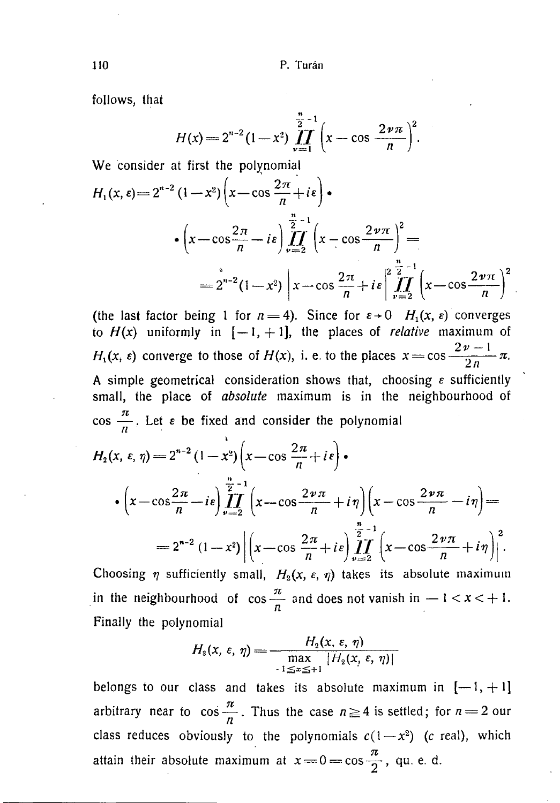**follows, that** 

$$
H(x) = 2^{n-2} (1-x^2) \prod_{\nu=1}^{\frac{n}{2}-1} \left(x - \cos \frac{2 \nu \pi}{n}\right)^2.
$$

**We consider at first the polynomial** 

$$
H_1(x, \varepsilon) = 2^{n-2} (1 - x^2) \left( x - \cos \frac{2\pi}{n} + i \varepsilon \right) \cdot
$$
  

$$
\cdot \left( x - \cos \frac{2\pi}{n} - i \varepsilon \right) \prod_{\nu=2}^{\frac{n}{2}-1} \left( x - \cos \frac{2\nu \pi}{n} \right)^2 =
$$
  

$$
= 2^{n-2} (1 - x^2) \left| x - \cos \frac{2\pi}{n} + i \varepsilon \right| \prod_{\nu=2}^{\frac{n}{2}-1} \left( x - \cos \frac{2\nu \pi}{n} \right)^2
$$

**(the last factor being 1 for**  $n = 4$ **). Since for**  $\varepsilon \rightarrow 0$  $H_1(x, \varepsilon)$  **converges** to  $H(x)$  uniformly in  $[-1, +1]$ , the places of *relative* maximum of  $H_1(x, \varepsilon)$  converge to those of  $H(x)$ , i. e. to the places  $x = \cos \frac{2v - 1}{2v} \pi$ . A simple geometrical consideration shows that, choosing  $\varepsilon$  sufficiently **small, the place of** *absolute* **maximum is in the neighbourhood of**   $\cos \frac{\pi}{n}$ . Let  $\varepsilon$  be fixed and consider the polynomial  $H_2(x, \varepsilon, \eta) = 2^{n-2} (1-x^2) \left(x - \cos \frac{2\pi}{n} + i\varepsilon\right)$  $\cdot(x-\cos\frac{2\pi}{2}-i\varepsilon)\prod_{i=1}^{\frac{n}{2}-1}(x-\cos\frac{2\nu\pi}{2}+i\eta)(x-\cos\frac{2\nu\pi}{2}-i\eta) =$ 

$$
\begin{aligned}\n\binom{n}{y} &= 2 \binom{n}{y} \binom{n}{x} \\
&= 2^{n-2} \left(1 - x^2\right) \left| \left(x - \cos \frac{2\pi}{n} + i\epsilon\right) \prod_{\nu=2}^{n} \left(x - \cos \frac{2\nu\pi}{n} + i\eta\right) \right|^2.\n\end{aligned}
$$

Choosing  $\eta$  sufficiently small,  $H_2(x, \varepsilon, \eta)$  takes its absolute maximum *TV*   $\sum_{n=1}^{\infty}$  **and does not vanish in**  $\sum_{n=1}^{\infty}$  **and**  $\sum_{n=1}^{\infty}$  **does not vanish in**  $\sum_{n=1}^{\infty}$ 

$$
H_{\scriptscriptstyle{3}}(x,\,\varepsilon,\,\eta)=\frac{H_{\scriptscriptstyle{2}}(x,\,\varepsilon,\,\eta)}{\max\limits_{\scriptscriptstyle{-1\leq x\leq +1}}|H_{\scriptscriptstyle{2}}(x,\,\varepsilon,\,\eta)|}
$$

belongs to our class and takes its absolute maximum in  $[-1, +1]$ **arbitrary** near to  $\cos \frac{\pi}{n}$ . Thus the case  $n \ge 4$  is settled; for  $n = 2$  our class reduces obviously to the polynomials  $c(1-x^2)$  (c real), which attain their absolute maximum at  $x=0$  = cos  $\frac{\pi}{0}$ , qu. e. d.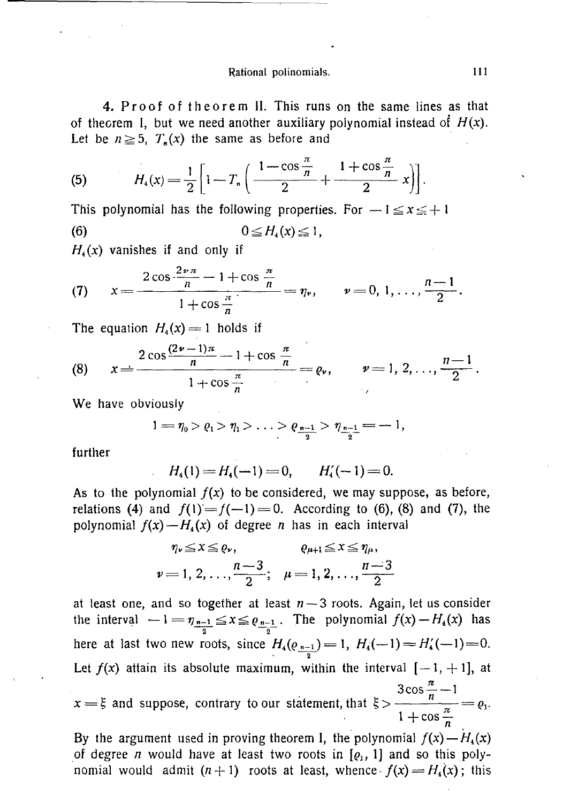**4.** Proof of theorem II. This runs on the same lines as that of theorem I, but we need another auxiliary polynomial instead of  $H(x)$ . Let be  $n \ge 5$ ,  $T_n(x)$  the same as before and

(5) 
$$
H_4(x) = \frac{1}{2} \left[ 1 - T_n \left( \frac{1 - \cos \frac{\pi}{n}}{2} + \frac{1 + \cos \frac{\pi}{n}}{2} x \right) \right].
$$

This polynomial has the following properties. For  $-1 \le x \le +1$ (6)  $0 \leq$ 

 $H<sub>4</sub>(x)$  vanishes if and only if

(7) 
$$
x = \frac{2 \cos \frac{2 \nu \pi}{n} - 1 + \cos \frac{\pi}{n}}{1 + \cos \frac{\pi}{n}} = \eta_{\nu}, \qquad \nu = 0, 1, ..., \frac{n-1}{2}.
$$

The equation  $H_4(x) = 1$  holds if

(8) 
$$
x = \frac{2 \cos \frac{(2\nu - 1)\pi}{n} - 1 + \cos \frac{\pi}{n}}{1 + \cos \frac{\pi}{n}} = \varrho_{\nu}, \qquad \nu = 1, 2, ..., \frac{n-1}{2}.
$$

**We have obviously** 

$$
1 = \eta_0 > \varrho_1 > \eta_1 > \ldots > \varrho_{\frac{n-1}{2}} > \eta_{\frac{n-1}{2}} = -1,
$$

**further** 

$$
H_4(1) = H_4(-1) = 0, \qquad H'_4(-1) = 0.
$$

As to the polynomial  $f(x)$  to be considered, we may suppose, as before, **relations** (4) and  $f(1) = f(-1) = 0$ . According to (6), (8) and (7), the **polynomial**  $f(x) - H<sub>4</sub>(x)$  of degree *n* has in each interval

$$
\eta_{\nu} \leq x \leq \varrho_{\nu}, \qquad \varrho_{\mu+1} \leq x \leq \eta_{\mu},
$$
  

$$
\nu = 1, 2, \ldots, \frac{n-3}{2}; \quad \mu = 1, 2, \ldots, \frac{n-3}{2}
$$

**at least one, and so together at least** *n —* **3 roots. Again, let us consider**  the interval  $-1 = \eta_{n-1} \le x \le e_{n-1}$ . The polynomial  $f(x) - H<sub>4</sub>(x)$  has  $\overline{2}$   $\overline{2}$ here at last two new roots, since  $H_4(\rho_{n-1}) = 1$ ,  $H_4(-1) = H_4'(-1) = 0$ . Let  $f(x)$  attain its absolute maximum, within the interval  $[-1, +1]$ , at 3 cos  $\frac{\pi}{1}$  in 1  $\frac{3}{n} - 1$  $x = 5$  and suppose, contrary to our statement, that  $5 > \frac{\pi}{1 + \pi^2} = 81$ **1 + cos** 

By the argument used in proving theorem I, the polynomial  $f(x) - H<sub>4</sub>(x)$ of degree *n* would have at least two roots in  $[q_1, 1]$  and so this poly**nomial would admit**  $(n+1)$  **roots at least, whence**  $f(x) = H<sub>4</sub>(x)$ **; this**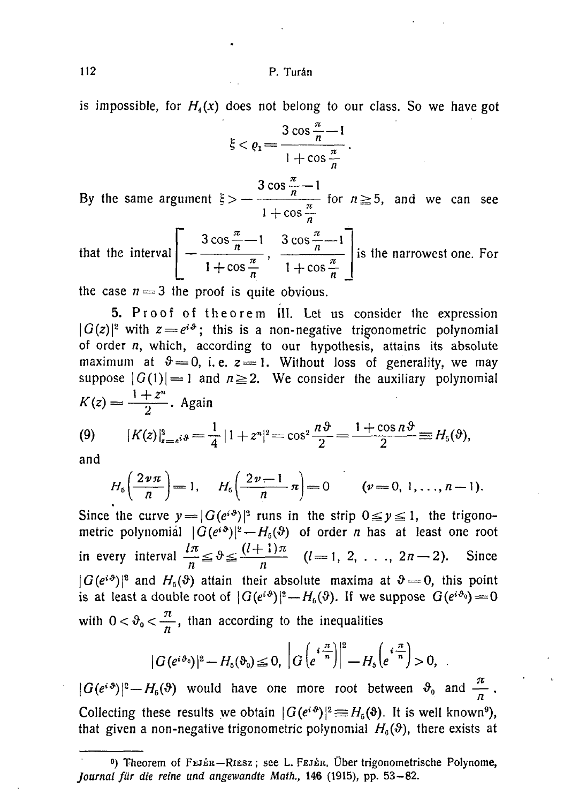is impossible, for  $H_4(x)$  does not belong to our class. So we have got

$$
\xi < \varrho_1 = \frac{3\cos\frac{\pi}{n} - 1}{1 + \cos\frac{\pi}{n}}.
$$

By the same argument  $\xi$  >  $3 \cos \frac{\pi}{2} - 1$ 1 + cos for  $n \geq 5$ , and we can see

**that the interval**   $3 \cos \frac{n}{n} - 1$  $1 + \cos \frac{\pi}{4}$ **3 cos:**   $\frac{1}{n}$ <br>  $\frac{1}{n}$   $\frac{1}{n}$   $\frac{3 \cos \frac{1}{n}}{1 + 0}$  $+\cos\frac{\pi}{n}$  is the narrowest one. For

the case  $n = 3$  the proof is quite obvious.

5. Proof of theorem III. Let us consider the expression  $|G(z)|^2$  with  $z = e^{i\vartheta}$ ; this is a non-negative trigonometric polynomial **of order** *n,* **which, according to our hypothesis, attains its absolute**  maximum at  $\vartheta = 0$ , i.e.  $z = 1$ . Without loss of generality, we may suppose  $|G(1)| = 1$  and  $n \ge 2$ . We consider the auxiliary polynomial  $\frac{1+z^n}{2}$ . Again

(9) 
$$
|K(z)|_{z=s^{i}}^{2} = \frac{1}{4} |1+z^{n}|^{2} = \cos^{2} \frac{n \vartheta}{2} = \frac{1+\cos n \vartheta}{2} \equiv H_{5}(\vartheta),
$$

**and** 

$$
H_6\left(\frac{2\nu\pi}{n}\right) = 1, \quad H_6\left(\frac{2\nu-1}{n}\pi\right) = 0 \quad (\nu = 0, 1, \ldots, n-1).
$$

Since the curve  $y = |G(e^{i\vartheta})|^2$  runs in the strip  $0 \le y \le 1$ , the trigono**metric polynomial**  $|G(e^{i\vartheta})|^2 - H_5(\vartheta)$  **of order** *n* **has at least one root** in every interval  $\frac{\ln n}{n} \le \theta \le \frac{(l+1)\pi}{n}$   $(l=1, 2, \ldots, 2n-2)$ . Since  $|G(e^{i\vartheta})|^2$  and  $H_5(\vartheta)$  attain their absolute maxima at  $\vartheta = 0$ , this point  $|\mathbf{U}(\mathbf{e}^{H})|$  and  $H_5(\mathbf{v})$  attain their absolute maxima at  $\mathbf{v} = 0$ , this point  $\mathbf{v} = 0$ , this point **is at least a double foot of**  $|G(e^{i\theta})|$  $\to H_b(v)$ **, if we suppose**  $G(e^{i\theta}) = 0$ with  $0 < \vartheta_0 < \frac{\pi}{\sqrt{2}}$ , than according to the inequalities

$$
|G(e^{i\vartheta_0})|^2 - H_6(\vartheta_0) \leq 0, \ \left| G\left(e^{i\frac{\pi}{n}}\right)\right|^2 - H_5\left(e^{i\frac{\pi}{n}}\right) > 0,
$$

 $|G(e^{i\vartheta})|^2 - H_6(\vartheta)$  would have one more root between  $\vartheta_0$  and  $\frac{\pi}{a}$ . **Collecting these results we obtain**  $|G(e^{i\vartheta})|^2 \equiv H_5(\vartheta)$ **. It is well known<sup>9</sup>), that given a non-negative trigonometric polynomial**  $H_0(\vartheta)$ **, there exists at** 

<sup>&</sup>lt;sup>9</sup>) Theorem of FEJER-RIESZ; see L. FEJER, Über trigonometrische Polynome, *Journal für die reine und angewandte Math.,* 146 (1915), pp. 53—82.